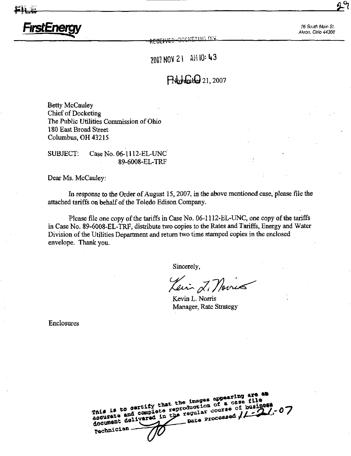f<del>(ECCI)/ED iJC/Decimal in i</del>

FirstEnergy and the state of the state of the state of the state of the state of the state of the state of the state of the state of the state of the state of the state of the state of the state of the state of the state o Akron, Ohio 44308

2007 NOV 21 AM 10: 43

The  $\mathcal{L}^{\left( \right) }$ 

# $P_{\text{v}}$ <sub>t</sub> $P_{\text{u}}$ <sub>21,2007</sub>

Betty McCauley Chief of Docketing The Public Utilities Commission of Ohio 180 East Broad Street Columbus, OH 43215

SUBJECT: Case No. 06-1112-EL-UNC' 89-6008-EL-TRP

Dear Ms. McCauley:

In response to the Order of August 15,2007, in the above mentioned case, please file the attached tariffs on behalf of the Toledo Edison Company.

Please file one copy of the tariffs in Case No. 06-1112-EL-UNC, one copy of the tariffs in Case No. 89-6008-EL-TRF, distribute two copies to the Rates and Tariffs, Energy and Water Division of the Utilities Department and return two time stamped copies in the enclosed envelope. Thank you.

Sincerely,

Lein 2. Novies

Kevin L. Norris Manager, Rate Strategy

Enclosures

| This is to certify that the images appearing are as<br>ascurate and complete reproduction of a case file<br>document delivered in the regular course of business<br>$-$ pate Processed $\sqrt{1-21}$ -07<br>rechnician- |
|-------------------------------------------------------------------------------------------------------------------------------------------------------------------------------------------------------------------------|
|-------------------------------------------------------------------------------------------------------------------------------------------------------------------------------------------------------------------------|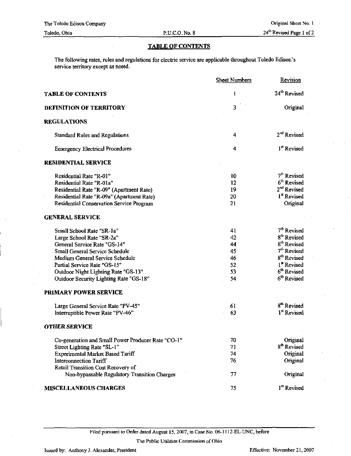## TABLE OF CONTENTS

The following rates, rules and regulations for electric service are applicable throughout Toledo Edison's service territory except as noted.

|                                                    | <b>Sheet Numbers</b> | Revision                 |
|----------------------------------------------------|----------------------|--------------------------|
| <b>TABLE OF CONTENTS</b>                           | 1                    | 24 <sup>th</sup> Revised |
| <b>DEFINITION OF TERRITORY</b>                     | 3                    | Original                 |
| <b>REGULATIONS</b>                                 |                      |                          |
| <b>Standard Rules and Regulations</b>              | 4                    | 2 <sup>nd</sup> Revised  |
| <b>Emergency Electrical Procedures</b>             | 4                    | <sup>1st</sup> Revised   |
| <b>RESIDENTIAL SERVICE</b>                         |                      |                          |
| Residential Rate "R-01"                            | 10                   | 7 <sup>th</sup> Revised  |
| Residential Rate "R-01a"                           | 12                   | $6th$ Revised            |
| Residential Rate "R-09" (Apartment Rate)           | 19                   | 2 <sup>nd</sup> Revised  |
| Residential Rate "R-09a" (Apartment Rate)          | 20                   | 1 <sup>st</sup> Revised  |
| <b>Residential Conservation Service Program</b>    | 21                   | Original                 |
| <b>GENERAL SERVICE</b>                             |                      |                          |
| Small School Rate "SR-1a"                          | 41                   | 7 <sup>th</sup> Revised  |
| Large School Rate "SR-2a"                          | 42                   | 8 <sup>th</sup> Revised  |
| General Service Rate "GS-14"                       | 44                   | 8 <sup>th</sup> Revised  |
| Small General Service Schedule                     | 45                   | 7 <sup>th</sup> Revised  |
| Medium General Service Schedule                    | 46                   | 8 <sup>th</sup> Revised  |
| Partial Service Rate "GS-15"                       | 52                   | 1 <sup>st</sup> Revised  |
| Outdoor Night Lighting Rate "GS-13"                | 53                   | 6 <sup>th</sup> Revised  |
| Outdoor Security Lighting Rate "GS-18"             | 54                   | 6 <sup>th</sup> Revised  |
| PRIMARY POWER SERVICE                              |                      |                          |
| Large General Service Rate "PV-45"                 | 61                   | 8 <sup>th</sup> Revised  |
| Interruptible Power Rate "PV-46"                   | 63                   | 1 <sup>st</sup> Revised  |
| <b>OTHER SERVICE</b>                               |                      |                          |
| Co-generation and Small Power Producer Rate "CO-1" | 70                   | Original                 |
| Street Lighting Rate "SL-1"                        | 71                   | 8 <sup>th</sup> Revised  |
| Experimental Market Based Tariff                   | 74                   | Original                 |
| <b>Interconnection Tariff</b>                      | 76                   | Original                 |
| Retail Transition Cost Recovery of                 |                      |                          |
| Non-bypassable Regulatory Transition Charges       | 77                   | Original                 |
| <b>MISCELLANEOUS CHARGES</b>                       | 75                   | 1 <sup>st</sup> Revised  |

Filed pursuant to Order dated August 15, 2007, in Case No. 06-1112-EL-UNC, before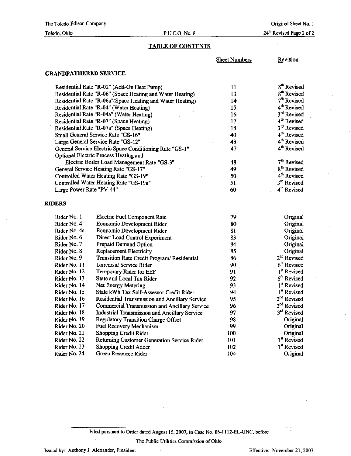## Toledo, Ohio P.UC.O.No.8

24<sup>th</sup> Revised Page 2 of 2

## TABLE OF CONTENTS

|                              |                                                           | <b>Sheet Numbers</b> | <b>Revision</b>         |
|------------------------------|-----------------------------------------------------------|----------------------|-------------------------|
| <b>GRANDFATHERED SERVICE</b> |                                                           |                      |                         |
|                              | Residential Rate "R-02" (Add-On Heat Pump)                | 11                   | 8 <sup>th</sup> Revised |
|                              | Residential Rate "R-06" (Space Heating and Water Heating) | 13                   | 8 <sup>th</sup> Revised |
|                              | Residential Rate "R-06a"(Space Heating and Water Heating) | 14 <sup>°</sup>      | $7th$ Revised           |
|                              | Residential Rate "R-04" (Water Heating)                   | 15                   | 4 <sup>th</sup> Revised |
|                              | Residential Rate "R-04a" (Water Heating)                  | 16                   | 3 <sup>rd</sup> Revised |
|                              | Residential Rate "R-07" (Space Heating)                   | 17                   | 4 <sup>th</sup> Revised |
|                              | Residential Rate "R-07a" (Space Heating)                  | 18                   | 3rd Revised             |
|                              | Small General Service Rate "GS-16"                        | 40                   | 4 <sup>th</sup> Revised |
|                              | Large General Service Rate "GS-12"                        | 43                   | 4 <sup>th</sup> Revised |
|                              | General Service Electric Space Conditioning Rate "GS-1"   | 47                   | 4 <sup>th</sup> Revised |
|                              | Optional Electric Process Heating and                     |                      |                         |
|                              | Electric Boiler Load Management Rate "GS-3"               | 48                   | 7 <sup>th</sup> Revised |
|                              | General Service Heating Rate "GS-17"                      | 49                   | 8 <sup>th</sup> Revised |
|                              | Controlled Water Heating Rate "GS-19"                     | 50                   | 4 <sup>th</sup> Revised |
|                              | Controlled Water Heating Rate "GS-19a"                    | 51                   | 3rd Revised             |
| Large Power Rate "PV-44"     |                                                           | 60                   | 4 <sup>th</sup> Revised |
| <b>RIDERS</b>                |                                                           |                      |                         |
| Rider No. 1                  | Electric Fuel Component Rate                              | 79                   | Original                |
| Rider No. 4                  | Economic Development Rider                                | 80                   | Original                |
| Rider No. 4a                 | <b>Economic Development Rider</b>                         | 81                   | Original                |
| Rider No. 6                  | Direct Load Control Experiment                            | 83                   | Original                |
| Rider No. 7                  | Prepaid Demand Option                                     | 84                   | <b>Original</b>         |
| Rider No. 8                  | <b>Replacement Electricity</b>                            | 85                   | Original                |
| Rider No. 9                  | Transition Rate Credit Program/Residential                | 86                   | 2 <sup>nd</sup> Revised |
| Rider No. 11                 | Universal Service Rider                                   | 90                   | 6 <sup>th</sup> Revised |
| Rider No. 12                 | Temporary Rider for EEF                                   | 91                   | 1 <sup>st</sup> Revised |
| Rider No. 13                 | State and Local Tax Rider                                 | 92                   | 6 <sup>th</sup> Revised |
| Rider No. 14                 | Net Energy Metering                                       | 93                   | 1 <sup>st</sup> Revised |
| Rider No. 15                 | State kWh Tax Self-Assessor Credit Rider                  | 94                   | I <sup>st</sup> Revised |
| Rider No. 16                 | Residential Transmission and Ancillary Service            | 95                   | 2 <sup>nd</sup> Revised |
| Rider No. 17                 | <b>Commercial Transmission and Ancillary Service</b>      | 96                   | 2 <sup>nd</sup> Revised |
| Rider No. 18                 | Industrial Transmission and Ancillary Service             | 97                   | 3rd Revised             |
| Rider No. 19                 | <b>Regulatory Transition Charge Offset</b>                | 98                   | Original                |
| Rider No. 20                 | Fuel Recovery Mechanism                                   | 99                   | Original                |
| Rider No. 21                 | <b>Shopping Credit Rider</b>                              | 100                  | Original                |
| Rider No. 22                 | Returning Customer Generation Service Rider               | 101                  | 1 <sup>st</sup> Revised |
| Rider No. 23                 | <b>Shopping Credit Adder</b>                              | 102                  | 1 <sup>st</sup> Revised |
| Rider No. 24                 | Green Resource Rider                                      | 104                  | Original                |

Filed pursuant to Order dated August 15, 2007, in Case No. 06-1112-EL-UNC, before

The Public Utilities Commission of Ohio

Issued by: Anthony J. Alexander, President Effective: November 21, 2007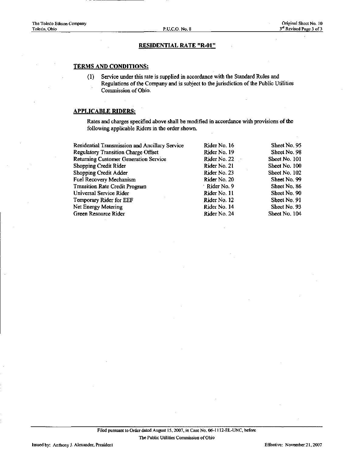## RESIDENTIAL RATE "R-Ot"

## TERMS AND CONDITIONS:

(1) Service under this rate is supplied in accordance with the Standard Rules and Regulations of the Company and is subject to the jurisdiction of the Public Utilities Commission of Ohio.

## APPLICABLE RIDERS:

| Residential Transmission and Ancillary Service | Rider No. 16  | Sheet No. 95  |
|------------------------------------------------|---------------|---------------|
| <b>Regulatory Transition Charge Offset</b>     | Rider No. 19  | Sheet No. 98  |
| <b>Returning Customer Generation Service</b>   | Rider No. 22  | Sheet No. 101 |
| Shopping Credit Rider                          | Rider No. 21  | Sheet No. 100 |
| <b>Shopping Credit Adder</b>                   | Rider No. 23  | Sheet No. 102 |
| Fuel Recovery Mechanism                        | Rider No. 20  | Sheet No. 99  |
| <b>Transition Rate Credit Program</b>          | · Rider No. 9 | Sheet No. 86  |
| Universal Service Rider                        | Rider No. 11  | Sheet No. 90  |
| Temporary Rider for EEF                        | Rider No. 12  | Sheet No. 91  |
| Net Energy Metering                            | Rider No. 14  | Sheet No. 93  |
| Green Resource Rider                           | Rider No. 24  | Sheet No. 104 |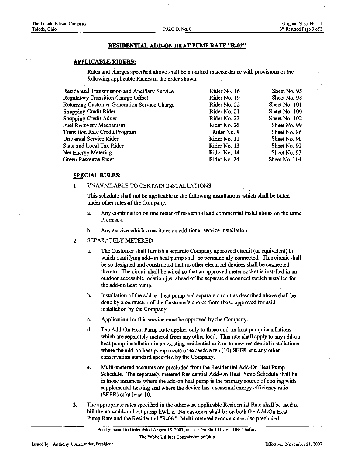#### RESIDENTIAL ADD-ON HEAT PUMP RATE "R-02"

#### APPLICABLE RIDERS:

Rates and charges specified above shall be modified in accordance with provisions of the following applicable Riders in the order shown.

| Residential Transmission and Ancillary Service | Rider No. 16 | Sheet No. 95  |
|------------------------------------------------|--------------|---------------|
| Regulatory Transition Charge Offset            | Rider No. 19 | Sheet No. 98  |
| Returning Customer Generation Service Charge   | Rider No. 22 | Sheet No. 101 |
| <b>Shopping Credit Rider</b>                   | Rider No. 21 | Sheet No. 100 |
| Shopping Credit Adder                          | Rider No. 23 | Sheet No. 102 |
| Fuel Recovery Mechanism                        | Rider No. 20 | Sheet No. 99  |
| <b>Transition Rate Credit Program</b>          | Rider No. 9  | Sheet No. 86  |
| Universal Service Rider                        | Rider No. 11 | Sheet No. 90  |
| State and Local Tax Rider                      | Rider No. 13 | Sheet No. 92  |
| Net Energy Metering                            | Rider No. 14 | Sheet No. 93  |
| Green Resource Rider                           | Rider No. 24 | Sheet No. 104 |

#### SPECIAL RULES:

#### 1. UNAVAILABLE TO CERTAIN INSTALLATIONS

This schedule shall not be applicable to the following installations which shall be billed under other rates of the Company:

- a. Any combination on one meter of residential and commercial installations on the same Premises.
- b. Any service which constitutes an additional service installation.

### 2. SEPARATELY METERED

- a. The Customer shall furnish a separate Company approved circuit (or equivalent) to which qualifying add-on heat pump shall be permanently connected. This circuit shall be so designed and constructed that no other electrical devices shall be connected thereto. The circuit shall be wired so that an approved meter socket is installed in an outdoor accessible location just ahead of the separate disconnect switch installed for the add-on heat pump.
- b. Installation of the add-on heat pump and separate circuit as described above shall be done by a contractor of the Customer's choice from those approved for said installation by the Company.
- c. Application for this service must be approved by the Company.
- d. The Add-On Heat Pump Rate applies only to those add-on heat pump installations which are separately metered from any other load. This rate shall apply to any add-on heat pump installation in an existing residential unit or to new residential installations where the add-on heat pump meets or exceeds a ten (10) SEER and any other conservation standard specified by the Company.
- e. Multi-metered accounts are precluded from the Residential Add-On Heat Pump Schedule. The separately metered Residential Add-On Heat Pump Schedule shall be in those instances where the add-on heat pump is the primary source of cooling with supplemental heating and where the device has a seasonal energy efficiency ratio (SEER) of at least 10.
- 3. The appropriate rates specified in the otherwise applicable Residential Rate shall be used to bill the non-add-on heat pump kWh's. No customer shall be on both the Add-On Heat Pump Rate and the Residential "R-06." Multi-metered accounts are also precluded.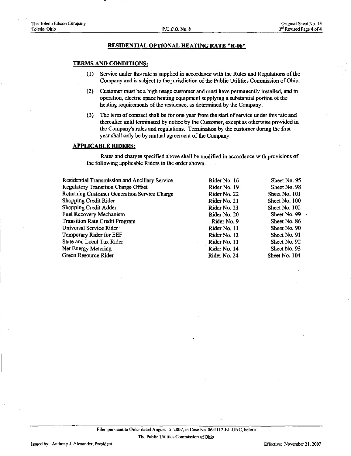#### RESIDENTIAL OPTIONAL HEATING RATE "R-06"

## TERMS AND CONDITIONS:

- (1) Service under this rate is supplied in accordance with the Rules and Regulations of the Company and is subject to the jurisdiction of the Public Utilities Commission of Ohio.
- (2) Customer must be a high usage customer and must have permanently installed, and in operation, electric space heating equipment supplying a substantial portion of the heating requirements of the residence, as determined by the Company.
- (3) The term of contract shall be for one year from the start of service under this rate and thereafter until terminated by notice by the Customer, except as otherwise provided in the Company's rules and regulations. Termination by the customer during the first year shall only be by mutual agreement of the Company.

#### APPLICABLE RIDERS:

| Rider No. 16 | Sheet No. 95  |
|--------------|---------------|
| Rider No. 19 | Sheet No. 98  |
| Rider No. 22 | Sheet No. 101 |
| Rider No. 21 | Sheet No. 100 |
| Rider No. 23 | Sheet No. 102 |
| Rider No. 20 | Sheet No. 99  |
| Rider No. 9  | Sheet No. 86  |
| Rider No. 11 | Sheet No. 90  |
| Rider No. 12 | Sheet No. 91  |
| Rider No. 13 | Sheet No. 92  |
| Rider No. 14 | Sheet No. 93  |
| Rider No. 24 | Sheet No. 104 |
|              |               |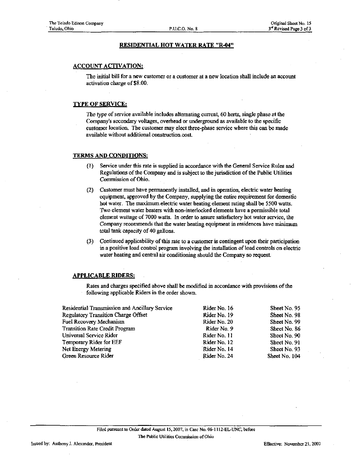## RESIDENTIAL HOT WATER RATE "R-04"

## ACCOUNT ACTIVATION:

The initial bill for a new customer or a customer at a new location shall include an account activation charge of \$8.00.

## TYPE OF SERVICE:

The type of service available includes alternating current, 60 hertz, single phase at the Company's secondary voltages, overhead or underground as available to the specific customer location. The customer may elect three-phase service where this can be made available without additional construction cost.

## TERMS AND CONDITIONS:

- (1) Service under this rate is supplied in accordance with the General Service Rules and Regulations of the Company and is subject to the jurisdiction of the Public Utihties Commission of Ohio.
- (2) Customer must have permanently installed, and in operation, electric water heating equipment, approved by the Company, supplying the entire requirement for domestic hot water. The maximum electric water heating element rating shall be 5500 watts. Two element water heaters with non-interlocked elements have a permissible total element wattage of 7000 watts. In order to assure satisfactory hot water service, the Company recommends that the water heating equipment in residences have minimum total tank capacity of 40 gallons.
- (3) Continued applicability of this rate to a customer is contingent upon their participation in a positive load control program involving the installation of load controls on electric water heating and central air conditioning should the Company so request.

### APPLICABLE RIDERS:

| Residential Transmission and Ancillary Service | Rider No. 16 | Sheet No. 95  |
|------------------------------------------------|--------------|---------------|
| Regulatory Transition Charge Offset            | Rider No. 19 | Sheet No. 98  |
| Fuel Recovery Mechanism                        | Rider No. 20 | Sheet No. 99  |
| <b>Transition Rate Credit Program</b>          | Rider No. 9  | Sheet No. 86  |
| Universal Service Rider                        | Rider No. 11 | Sheet No. 90  |
| Temporary Rider for EEF                        | Rider No. 12 | Sheet No. 91  |
| Net Energy Metering                            | Rider No. 14 | Sheet No. 93  |
| Green Resource Rider                           | Rider No. 24 | Sheet No. 104 |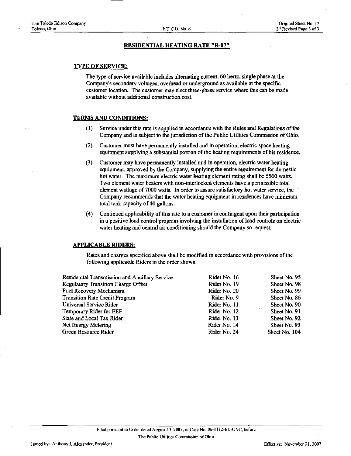#### RESIDENTIAL HEATING RATE "R-07"

## TYPE OF SERVICE:

The type of service available includes alternating current, 60 hertz, single phase at the Company's secondary voltages, overhead or underground as available at the specific customer location. The customer may elect three-phase service where this can be made available without additional construction cost.

## TERMS AND CONDITIONS:

- (1) Service under this rate is supplied in accordance with the Rules and Regulations of the Company and is subject to the jurisdiction of the Public Utihties Commission of Ohio.
- (2) Customer must have permanently installed and in operation, electric space heating equipment supplymg a substantial portion of the heating requirements of his residence.
- (3) Customer may have permanently installed and in operation, electric water heating equipment, approved by the Company, supplying the entire requirement for domestic hot water. The maximum electric water heating element rating shall be 5500 watts. Two element water heaters with non-interlocked elements have a permissible total element wattage of 7000 watts. In order to assure satisfactory hot water service, the Company recommends that the water heating equipment in residences have minimum total tank capacity of 40 gallons.
- (4) Continued applicability of this rate to a customer is contingent upon their participation in a positive load control program involving the mstallation of load controls on electric water heating and central air conditioning should the Company so request.

#### APPLICABLE RIDERS:

| <b>Residential Transmission and Ancillary Service</b> | Rider No. 16 | Sheet No. 95  |
|-------------------------------------------------------|--------------|---------------|
| <b>Regulatory Transition Charge Offset</b>            | Rider No. 19 | Sheet No. 98  |
| Fuel Recovery Mechanism                               | Rider No. 20 | Sheet No. 99  |
| <b>Transition Rate Credit Program</b>                 | Rider No. 9  | Sheet No. 86  |
| Universal Service Rider                               | Rider No. 11 | Sheet No. 90  |
| Temporary Rider for EEF                               | Rider No. 12 | Sheet No. 91  |
| State and Local Tax Rider                             | Rider No. 13 | Sheet No. 92  |
| Net Energy Metering                                   | Rider No. 14 | Sheet No. 93  |
| Green Resource Rider                                  | Rider No. 24 | Sheet No. 104 |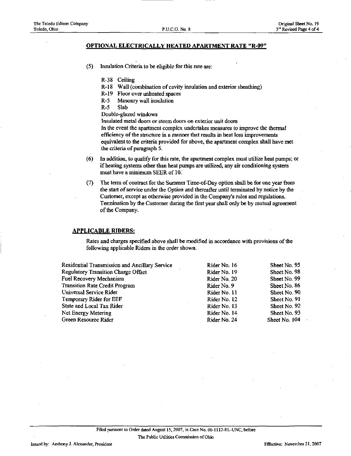P.U.C.O. No. 8

### OPTIONAL ELECTRICALLY HEATED APARTMENT RATE "R.09"

- (5) Insulation Criteria to be eligible for this rate are:
	- R-38 Ceiling
	- R-18 Wall (combination of cavity insulation and exterior sheathing)
	- R-19 Floor over unheated spaces
	- R-5 Masonry wall insulation
	- R-5 Slab
	- Double-glazed windows

Insulated metal doors or storm doors on exterior unit doors

In the event the apartment complex undertakes measures to improve the thermal efficiency of the structure in a manner that results in heat loss improvements equivalent to the criteria provided for above, the apartment complex shall have met the criteria of paragraph 5.

- (6) In addition, to qualify for this rate, the apartment complex must utilize heat pumps; or if heating systems other than heat pumps are utilized, any air conditioning system must have a minimum SEER of 10.
- $(7)$  The term of contract for the Summer Time-of-Day option shall be for one year from the start of service under the Option and thereafter until terminated by notice by the Customer, except as otherwise provided in the Company's rules and regulations. Termination by the Customer during the first year shall only be by mutual agreement of the Company.

#### APPLICABLE RIDERS:

Rates and charges specified above shall be modified in accordance with provisions of the following applicable Riders in the order shown.

Residential Transmission and Ancillary Service Regulatory Transition Charge Offset Fuel Recovery Mechanism Transition Rate Credit Program Universal Service Rider Temporary Rider for EEF State and Local Tax Rider Net Energy Metering Green Resource Rider Rider No. 16 Rider No. 19 Rider No. 20 Rider No. 9 Rider No. 11 Rider No. 12 Rider No. 13 Rider No. 14 Rider No. 24 Sheet No. 95 Sheet No. 98 Sheet No. 99 Sheet No. 86 Sheet No. 90 Sheet No. 91 Sheet No. 92 Sheet No. 93 Sheet No. 104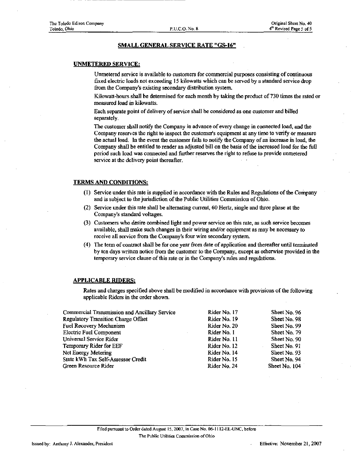## SMALL GENERAL SERVICE RATE "GS-16"

## UNMETERED SERVICE:

Unmetered service is available to customers for commercial purposes consisting of continuous fixed electric loads not exceeding 15 kilowatts which can be served by a standard service drop from the Company's existing secondary distribution system.

Kilowatt-hours shall be determined for each month by taking the product of 730 times the rated or measured load in kilowatts.

Each separate point of delivery of service shall be considered as one customer and billed separately.

The customer shall notify the Company in advance of every change in connected load, and the Company reserves the right to inspect the customer's equipment at any time to verify or measure the actual load. In the event the customer fails to notify the Company of an increase in load, the Company shall be entitled to render an adjusted bill on the basis of the increased load for the fiiU period such load was connected and fiirther reserves the right to refuse to provide unmetered service at the delivery point thereafter.

#### TERMS AND CONDITIONS:

- (1) Service under this rate is supplied in accordance with the Rules and Regulations of the Company and is subject to the jurisdiction of the Public Utilities Commission of Ohio.
- (2) Service under this rate shall be alternating current, 60 Hertz, single and three phase at the Company's standard voltages.
- (3) Customers who desire combined light and power service on this rate, as such service becomes available, shall make such changes in their wiring and/or equipment as may be necessary to receive all service from the Company's four wire secondary system.
- (4) The term of contract shall be for one year from date of application and thereafter until terminated by ten days written notice from the customer to the Company, except as otherwise provided in the temporary service clause of this rate or in the Company's mles and regulations.

#### APPLICABLE RIDERS:

| Commercial Transmission and Ancillary Service | Rider No. 17 | Sheet No. 96  |
|-----------------------------------------------|--------------|---------------|
| <b>Regulatory Transition Charge Offset</b>    | Rider No. 19 | Sheet No. 98  |
| <b>Fuel Recovery Mechanism</b>                | Rider No. 20 | Sheet No. 99  |
| <b>Electric Fuel Component</b>                | Rider No. 1  | Sheet No. 79  |
| Universal Service Rider                       | Rider No. 11 | Sheet No. 90  |
| Temporary Rider for EEF                       | Rider No. 12 | Sheet No. 91  |
| Net Energy Metering                           | Rider No. 14 | Sheet No. 93  |
| State kWh Tax Self-Assessor Credit            | Rider No. 15 | Sheet No. 94  |
| Green Resource Rider                          | Rider No. 24 | Sheet No. 104 |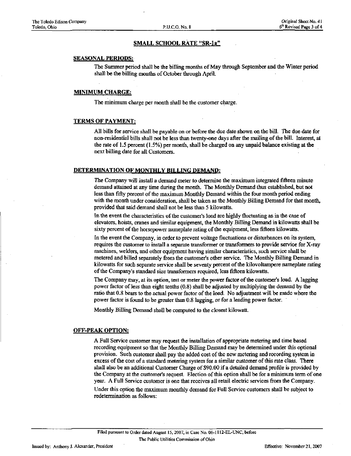### SMALL SCHOOL RATE "SR-la"

#### SEASONAL PERIODS:

The Summer period shall be the billing months of May through September and the Winter period shall be the billing months of October through April.

## MINIMUM CHARGE:

The minimum charge per month shall be the customer charge.

#### TERMS OF PAYMENT:

All bills for service shall be payable on or before the due date shown on the bill. The due date for non-residential bills shall not be less than twenty-one days after the mailing of the bill. Interest, at the rate of 1.5 percent (1.5%) per month, shall be charged on any unpaid balance existing at the next billing date for all Customers.

#### DETERMINATION OF MONTHLY BILLING DEMAND:

The Company will install a demand meter to determine the maximum integrated fifteen minute demand attained at any time during the month. The Monthly Demand thus established, but not less than fiffy percent of the maximum Monthly Demand within the four month period ending with the month under consideration, shall be taken as the Monthly Billing Demand for that month, provided that said demand shall not be less than 5 kilowatts.

In the event the characteristics of the customer's load are highly fluctuating as in the case of elevators, hoists, cranes and similar equipment, the Monthly Billing Demand in kilowatts shall be sixty percent of the horsepower nameplate rating of the equipment, less fifteen kilowatts.

In the event the Company, in order to prevent voltage fluctuations or disturbances on its system, requires the customer to install a separate transformer or transformers to provide service for X-ray machines, welders, and other equipment having similar characteristics, such service shall be metered and billed separately from the customer's other service. The Monthly Billing Demand in kilowatts for such separate service shall be seventy percent of the kilovoltampere nameplate rating of the Company's standard size transformers required, less fifteen kilowatts.

The Company may, at its option, test or meter the power factor of the customer's load. A lagging power factor of less than eight tenths (0.8) shall be adjusted by multiplying the demand by the ratio that 0.8 bears to the actual power factor of the load. No adjustment will be made where the power factor is found to be greater than 0.8 lagging, or for a leading power factor.

Monthly Billing Demand shall be computed to the closest kilowatt.

#### OFF-PEAK OPTION:

A Full Service customer may request the installation of appropriate metering and time based recording equipment so that the Monthly Billing Demand may be determined under this optional provision. Such customer shall pay the added cost of the new metering and recording system in excess of the cost of a standard metering system for a similar customer of this rate class. There shall also be an additional Customer Charge of \$90.00 if a detailed demand profile is provided by the Company at the customer's request. Election of this option shall be for a minimum term of one year. A Full Service customer is one that receives all retail electric services from the Company.

Under this option the maximum monthly demand for Full Service customers shall be subject to redetermination as follows: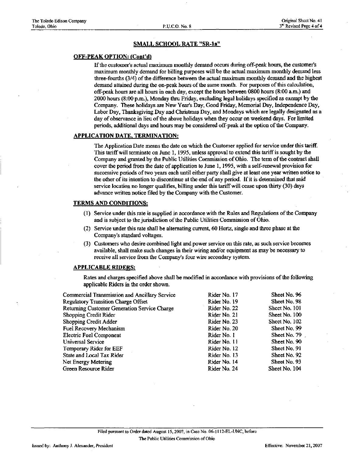## SMALL SCHOOL RATE "SR-la"

## OFF-PEAK OPTION: (Cont'd)

If the customer's actual maximum monthly demand occurs during off-peak hours, the customer's maximum monthly demand for billing purposes will be the actual maximum monthly demand less three-fourths (3/4) of the difference between the actual maximum monthly demand and the highest demand attained during the on-peak hours of the same month. For purposes of this calculation, off-peak hours are all hours in each day, except the hours between 0800 hours (8:00 a.m.) and 2000 hours (8:00 p.m.), Monday thru Friday, excluding legal holidays specified as exempt by the Company. These holidays are New Year's Day, Good Friday, Memorial Day, Independence Day, Labor Day, Thanksgiving Day and Christmas Day, and Mondays which are legally designated as a day of observance in lieu of the above holidays when they occur on weekend days. For limited periods, additional days and hours may be considered off-peak at the option of the Company.

## APPLICATION DATE. TERMINATION:

The Application Date means the date on which the Customer applied for service under this tariff This tariff will terminate on June 1, 1995, imless approval to extend this tariff is sought by the Company and granted by the Public Utilities Commission of Ohio. The term of the contract shall cover the period from the date of application to June 1,1995, with a self-renewal provision for successive periods of two years each until either party shall give at least one year written notice to the other of its intention to discontinue at the end of any period. If it is determined that said service location no longer qualifies, billing under this tariff will cease upon thirty (30) days advance written notice filed by the Company with the Customer.

## TERMS AND CONDITIONS:

- (1) Service imder this rate is supplied in accordance with the Rules and Regulations of the Company and is subject to the jurisdiction of the Public Utilities Commission of Ohio.
- (2) Service under this rate shall be alternating current, 60 Hertz, single and three phase at the Company's standard voltages.
- (3) Customers who desire combined light and power service on this rate, as such service becomes available, shall make such changes in their wiring and/or equipment as may be necessary to receive all service from the Company's four wire secondary system.

#### APPLICABLE RIDERS:

| Commercial Transmission and Ancillary Service | Rider No. 17 | Sheet No. 96    |
|-----------------------------------------------|--------------|-----------------|
| <b>Regulatory Transition Charge Offset</b>    | Rider No. 19 | Sheet No. 98    |
| Returning Customer Generation Service Charge  | Rider No. 22 | Sheet No. 101   |
| <b>Shopping Credit Rider</b>                  | Rider No. 21 | Sheet No. 100   |
| Shopping Credit Adder                         | Rider No. 23 | Sheet No. 102   |
| Fuel Recovery Mechanism                       | Rider No. 20 | Sheet No. 99    |
| <b>Electric Fuel Component</b>                | Rider No. 1  | Sheet No. $791$ |
| Universal Service                             | Rider No. 11 | Sheet No. 90    |
| Temporary Rider for EEF                       | Rider No. 12 | Sheet No. 91    |
| State and Local Tax Rider                     | Rider No. 13 | Sheet No. 92    |
| Net Energy Metering                           | Rider No. 14 | Sheet No. 93    |
| Green Resource Rider                          | Rider No. 24 | Sheet No. 104   |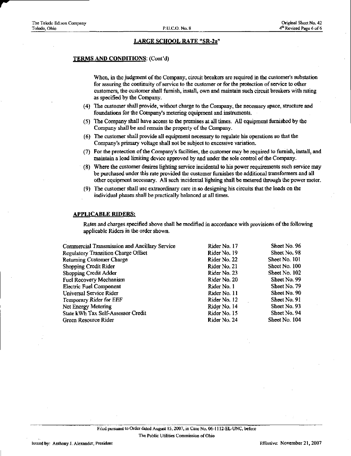## LARGE SCHOOL RATE "SR-2a'

#### TERMS AND CONDITIONS: (Cont'd)

When, in the judgment of the Company, circuit breakers are required in the customer's substation for assuring the continuity of service to the customer or for the protection of service to other customers, the customer shall furnish, install, own and maintain such circuit breakere with rating as specified by the Company.

- (4) The customer shall provide, without charge to the Company, the necessary space, structure and foundations for the Company's metering equipment and instruments.
- (5) The Company shall have access to the premises at all times. All equipment furnished by the Company shall be and remain the property of the Company.
- (6) The customer shall provide all equipment necessary to regulate his operations so that the Company's primary voltage shall not be subject to excessive variation.
- (7) For the protection of the Company's facilities, the customer may be required to furnish, install, and mamtain a load limiting device approved by and under the sole confrol of the Company.
- (8) Where the customer desnes lighting service incidental to his power requirements such service may be purchased under this rate provided the customer furnishes the additional transformers and all other equipment necessary. All such incidental lighting shall be metered through the power meter.
- (9) The customer shall use extraordinary care in so designing his circuits that the loads on the individual phases shall be practically balanced at all times.

#### APPLICABLE RIDERS:

| Commercial Transmission and Ancillary Service | Rider No. 17 | Sheet No. 96  |
|-----------------------------------------------|--------------|---------------|
| <b>Regulatory Transition Charge Offset</b>    | Rider No. 19 | Sheet No. 98  |
| <b>Returning Customer Charge</b>              | Rider No. 22 | Sheet No. 101 |
| Shopping Credit Rider                         | Rider No. 21 | Sheet No. 100 |
| <b>Shopping Credit Adder</b>                  | Rider No. 23 | Sheet No. 102 |
| Fuel Recovery Mechanism                       | Rider No. 20 | Sheet No. 99  |
| <b>Electric Fuel Component</b>                | Rider No. 1  | Sheet No. 79  |
| Universal Service Rider                       | Rider No. 11 | Sheet No. 90  |
| Temporary Rider for EEF                       | Rider No. 12 | Sheet No. 91  |
| Net Energy Metering                           | Rider No. 14 | Sheet No. 93  |
| State kWh Tax Self-Assessor Credit            | Rider No. 15 | Sheet No. 94  |
| Green Resource Rider                          | Rider No. 24 | Sheet No. 104 |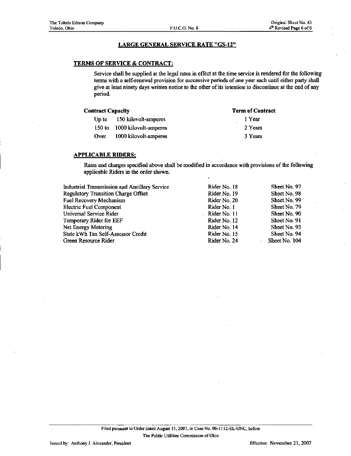## LARGE GENERAL SERVICE RATE "GS-12"

## TERMS OF SERVICE & CONTRACT:

Service shall be supplied at the legal rates in effect at the time service is rendered for the following terms with a self-renewal provision for successive periods of one year each until either party shall give at least ninety days written notice to the other of its intention to discontinue at the end of any period.

| <b>Contract Capacity</b> |                              | <b>Term of Contract</b> |
|--------------------------|------------------------------|-------------------------|
|                          | Up to 150 kilovolt-amperes   | 1 Year                  |
|                          | 150 to 1000 kilovolt-amperes | 2 Years                 |
| Over                     | 1000 kilovolt-amperes        | 3 Years                 |

#### APPLICABLE RIDERS:

| Industrial Transmission and Ancillary Service | Rider No. 18 | Sheet No. 97  |
|-----------------------------------------------|--------------|---------------|
| <b>Regulatory Transition Charge Offset</b>    | Rider No. 19 | Sheet No. 98  |
| Fuel Recovery Mechanism                       | Rider No. 20 | Sheet No. 99  |
| <b>Electric Fuel Component</b>                | Rider No. 1  | Sheet No. 79  |
| Universal Service Rider                       | Rider No. 11 | Sheet No. 90  |
| Temporary Rider for EEF                       | Rider No. 12 | Sheet No. 91  |
| Net Energy Metering                           | Rider No. 14 | Sheet No. 93  |
| State kWh Tax Self-Assessor Credit            | Rider No. 15 | Sheet No. 94  |
| Green Resource Rider                          | Rider No. 24 | Sheet No. 104 |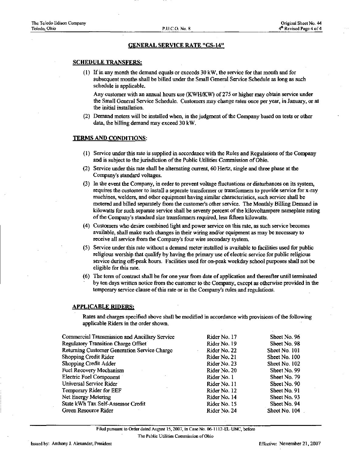### GENERAL SERVICE RATE "GS-14"

#### SCHEDULE TRANSFERS:

(1) If in any month the demand equals or exceeds 30 kW, the service for that month and for subsequent months shall be billed under the Small General Service Schedule as long as such schedule is applicable.

Any customer with an annual hours use (KWH/KW) of 275 or higher may obtain service under the Small General Service Schedule. Customers may change rates once per year, in January, or at the initial mstallation.

(2) Demand meters will be installed when, in the judgment of the Company based on tests or other data, the billing demand may exceed 30 kW.

#### TERMS AND CONDITIONS:

- (1) Service under this rate is supplied in accordance with the Rules and Regulations of the Company and is subject to the jurisdiction of the Public Utilities Commission of Ohio.
- (2) Service under this rate shall be alternating current, 60 Hertz, single and three phase at the Company's standard voltages.
- (3) In the event the Company, in order to prevent voltage fluctuations or disturbances on its system, requires the customer to install a separate transformer or transformers to provide service for x-ray machines, welders, and other equipment having similar characteristics, such service shall be metered and billed separately from the customer's other service. The Monthly Billing Demand in kilowatts for such separate service shall be seventy percent of the kilovoltampere nameplate rating of the Company's standard size transformers required, less fifteen kilowatts.
- (4) Customers who desire combined light and power service on this rate, as such service becomes available, shall make such changes in their wiring and/or equipment as may be necessary to receive all service from the Company's four wire secondary system.
- $(5)$  Service under this rate without a demand meter installed is available to facilities used for public religious worship that qualify by having the primary use of electric service for public religious service during off-peak hours. Facilities used for on-peak weekday school purposes shall not be eligible for this rate.
- (6) The term of contract shall be for one year from date of application and thereafter until terminated by ten days written notice from the customer to the Company, except as otherwise provided in the temporary service clause of this rate or in the Company's rules and regulations.

#### APPLICABLE RIDERS:

Rates and charges specified above shall be modified in accordance with provisions of the following applicable Riders in the order shown.

| Commercial Transmission and Ancillary Service | Rider No. 17 | Sheet No. 96  |
|-----------------------------------------------|--------------|---------------|
| Regulatory Transition Charge Offset           | Rider No. 19 | Sheet No. 98  |
| Returning Customer Generation Service Charge  | Rider No. 22 | Sheet No. 101 |
| Shopping Credit Rider                         | Rider No. 21 | Sheet No. 100 |
| Shopping Credit Adder                         | Rider No. 23 | Sheet No. 102 |
| Fuel Recovery Mechanism                       | Rider No. 20 | Sheet No. 99  |
| <b>Electric Fuel Component</b>                | Rider No. 1  | Sheet No. 79  |
| Universal Service Rider                       | Rider No. 11 | Sheet No. 90  |
| Temporary Rider for EEF                       | Rider No. 12 | Sheet No. 91  |
| Net Energy Metering                           | Rider No. 14 | Sheet No. 93  |
| State kWh Tax Self-Assessor Credit            | Rider No. 15 | Sheet No. 94  |
| Green Resource Rider                          | Rider No. 24 | Sheet No. 104 |
|                                               |              |               |

Filed pursuant to Order dated August 15,2007, in Case No. 06-1112-EL-UNC, before The Public Utilities Commission of Ohio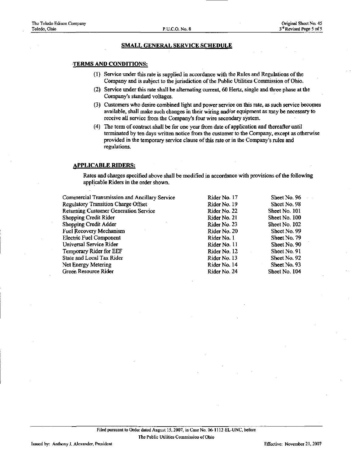#### SMALL GENERAL SERVICE SCHEDULE

#### TERMS AND CONDITIONS:

- (1) Service under this rate is supplied in accordance with the Rules and Regulations of the Company and is subject to the jurisdiction of the Public Utilities Commission of Ohio.
- (2) Service under this rate shall he alternating current, 60 Hertz, single and three phase at the Company's standard voltages.
- (3) Customers who desire combined light and power service on this rate, as such service becomes available, shall make such changes in their wuing and/or equipment as may be necessary to receive all service from the Company's four wire secondary system.
- (4) The term of contract shall be for one year from date of application and thereafter until terminated by ten days written notice from the customer to the Company, except as otherwise provided in the temporary service clause of this rate or in the Company's rules and regulations.

## APPLICABLE RIDERS:

| Commercial Transmission and Ancillary Service | Rider No. 17 | Sheet No. 96  |
|-----------------------------------------------|--------------|---------------|
| Regulatory Transition Charge Offset           | Rider No. 19 | Sheet No. 98  |
| <b>Returning Customer Generation Service</b>  | Rider No. 22 | Sheet No. 101 |
| Shopping Credit Rider                         | Rider No. 21 | Sheet No. 100 |
| Shopping Credit Adder                         | Rider No. 23 | Sheet No. 102 |
| Fuel Recovery Mechanism                       | Rider No. 20 | Sheet No. 99  |
| <b>Electric Fuel Component</b>                | Rider No. 1  | Sheet No. 79  |
| Universal Service Rider                       | Rider No. 11 | Sheet No. 90  |
| Temporary Rider for EEF                       | Rider No. 12 | Sheet No. 91  |
| State and Local Tax Rider                     | Rider No. 13 | Sheet No. 92  |
| Net Energy Metering                           | Rider No. 14 | Sheet No. 93  |
| Green Resource Rider                          | Rider No. 24 | Sheet No. 104 |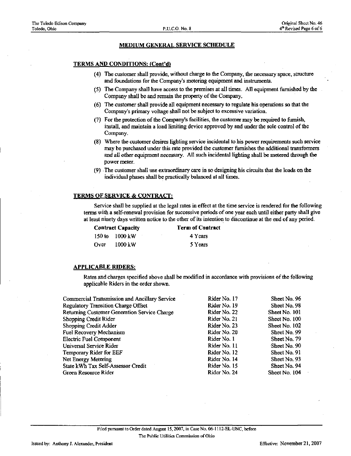## MEDIUM GENERAL SERVICE SCHEDULE

#### TERMS AND CONDITIONS: (Cont'd)

- (4) The customer shall provide, without charge to the Company, the necessary space, structure and foundations for the Company's metering equipment and instruments.
- (5) The Company shall have access to the premises at all times. All equipment fiimished by the Company shall be and remam the property of the Company.
- (6) The customer shall provide all equipment necessary to regulate his operations so that the Company's primary voltage shall not be subject to excessive variation.
- (7) For the protection of the Company's facilities, the customer may be required to furnish, install, and maintain a load limiting device approved by and under the sole control of the Company.
- (8) Where the customer desires lighting service incidental to his power requirements such service may be purchased under this rate provided the customer furnishes the additional transformers and all other equipment necessary. All such incidental lighting shall be metered through the power meter.
- (9) The customer shall use extraordinary care in so designing his circuits that the loads on the individual phases shall be practically balanced at all times.

## TERMS OF SERVICE & CONTRACT:

Service shall be supplied at the legal rates in effect at the time service is rendered for the following terms with a self-renewal provision for successive periods of one year each until either party shall give at least ninety days written notice to the other of its intention to discontinue at the end of any period.

| <b>Contract Capacity</b> |                          | <b>Term of Contract</b> |         |
|--------------------------|--------------------------|-------------------------|---------|
|                          | 150 to $1000 \text{ kW}$ | ٠                       | 4 Years |
| Over                     | 1000 kW                  |                         | 5 Years |

#### APPLICABLE RIDERS:

| Commercial Transmission and Ancillary Service | Rider No. 17 | Sheet No. 96  |
|-----------------------------------------------|--------------|---------------|
| <b>Regulatory Transition Charge Offset</b>    | Rider No. 19 | Sheet No. 98  |
| Returning Customer Generation Service Charge  | Rider No. 22 | Sheet No. 101 |
| Shopping Credit Rider                         | Rider No. 21 | Sheet No. 100 |
| Shopping Credit Adder                         | Rider No. 23 | Sheet No. 102 |
| Fuel Recovery Mechanism                       | Rider No. 20 | Sheet No. 99  |
| Electric Fuel Component                       | Rider No. 1  | Sheet No. 79  |
| Universal Service Rider                       | Rider No. 11 | Sheet No. 90  |
| Temporary Rider for EEF                       | Rider No. 12 | Sheet No. 91  |
| Net Energy Metering                           | Rider No. 14 | Sheet No. 93  |
| State kWh Tax Self-Assessor Credit            | Rider No. 15 | Sheet No. 94  |
| Green Resource Rider                          | Rider No. 24 | Sheet No. 104 |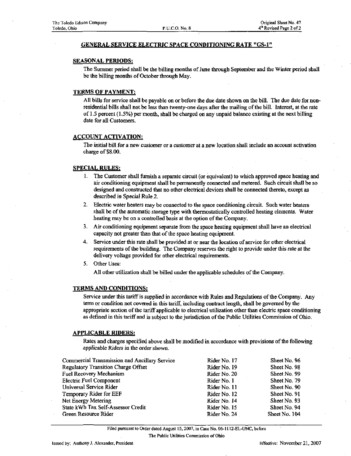## GENERAL SERVICE ELECTRIC SPACE CONDITIONING RATE "GS-l"

#### SEASONAL PERIODS:

The Sununer period shall be the billing months of June through September and the Winter period shall be the billing months of October through May.

## TERMS OF PAYMENT:

All bills for service shall be payable on or before the due date shown on the bill. The due date for nonresidential bills shall not be less than twenty-one days after the mailing of the bill. Interest, at the rate of 1.5 percent (1.5%) per month, shall be charged on any unpaid balance existing at the next billing date for all Customers.

## ACCOUNT ACTIVATION:

The initial bill for a new customer or a customer at a new location shall include an account activation charge of \$8.00.

#### SPECIAL RULES:

- 1. The Customer shall furnish a separate circuit (or equivalent) to which approved space heating and air conditioning equipment shall be permanently connected and metered. Such circuit shall be so designed and constructed that no other electrical devices shall be cormected thereto, except as described in Special Rule 2.
- 2. Electric water heaters may be connected to the space conditioning circuit. Such water heaters shall be of the automatic storage type with thermostatically controlled heating elements. Water heating may be on a controlled basis at the option of the Company.
- 3. Air conditioning equipment separate from the space heating equipment shall have an electrical capacity not greater than that of the space heating equipment.
- 4. Service under this rate shall be provided at or near the location of service for other electrical requirements of the building. The Company reserves the right to provide under this rate at the delivery voltage provided for other electrical requirements.
- 5. Other Uses:

All other utilization shall be billed under the applicable schedules of the Company.

#### TERMS AND CONDITIONS:

Service under this tariff is supplied in accordance with Rules and Regulations of the Company. Any term or condition not covered in this tariff, including contract length, shall be governed by the appropriate section of the tariff applicable to electrical utilization other than electric space conditioning as defined in this tariff and is subject to the jurisdiction of the Public Utilities Commission of Ohio.

#### APPLICABLE RIDERS:

Rates and charges specified above shall be modified in accordance with provisions of the following applicable Riders in the order shown.

| Commercial Transmission and Ancillary Service | Rider No. 17 | Sheet No. 96  |
|-----------------------------------------------|--------------|---------------|
| Regulatory Transition Charge Offset           | Rider No. 19 | Sheet No. 98  |
| Fuel Recovery Mechanism                       | Rider No. 20 | Sheet No. 99  |
| <b>Electric Fuel Component</b>                | Rider No. 1  | Sheet No. 79  |
| Universal Service Rider                       | Rider No. 11 | Sheet No. 90  |
| Temporary Rider for EEF                       | Rider No. 12 | Sheet No. 91  |
| Net Energy Metering                           | Rider No. 14 | Sheet No. 93  |
| State kWh Tax Self-Assessor Credit            | Rider No. 15 | Sheet No. 94  |
| Green Resource Rider                          | Rider No. 24 | Sheet No. 104 |

Filed pursuant to Order dated August 15,2007, in Case No. 06-1112-EL-UNC, before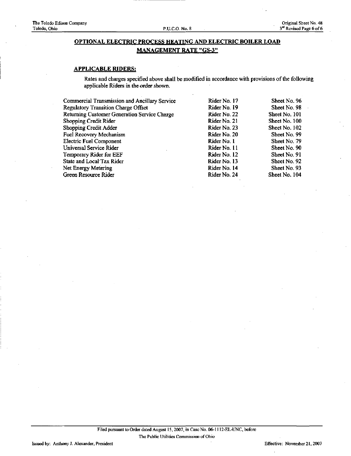## OPTIONAL ELECTRIC PROCESS HEATING AND ELECTRIC BOILER LOAD MANAGEMENT RATE "GS-3"

## APPLICABLE RIDERS:

| Sheet No. 96                                                                                                                                                                                |
|---------------------------------------------------------------------------------------------------------------------------------------------------------------------------------------------|
| Sheet No. 98                                                                                                                                                                                |
| Sheet No. 101                                                                                                                                                                               |
| Sheet No. 100                                                                                                                                                                               |
| Sheet No. 102                                                                                                                                                                               |
| Sheet No. 99                                                                                                                                                                                |
| Sheet No. 79                                                                                                                                                                                |
| Sheet No. 90                                                                                                                                                                                |
| Sheet No. 91                                                                                                                                                                                |
| Sheet No. 92                                                                                                                                                                                |
| Sheet No. 93                                                                                                                                                                                |
| Sheet No. 104                                                                                                                                                                               |
| Rider No. 17<br>Rider No. 19<br>Rider No. 22<br>Rider No. 21<br>Rider No. 23<br>Rider No. 20<br>Rider No. 1<br>Rider No. 11<br>Rider No. 12<br>Rider No. 13<br>Rider No. 14<br>Rider No. 24 |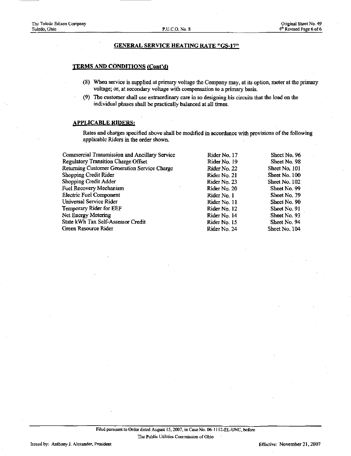#### GENERAL SERVICE HEATING RATE "GS-17"

#### TERMS AND CONDITIONS (Cont'd^

- (8) When service is supplied at primary voltage the Company may, at its option, meter at the primary voltage; or, at secondary voltage with compensation to a primary basis.
- (9) The customer shall use extraordinary care in so designing his circuits that the load on the individual phases shall be practically balanced at all times.

#### APPLICABLE RIDERS:

| Commercial Transmission and Ancillary Service | Rider No. 17 | Sheet No. 96  |
|-----------------------------------------------|--------------|---------------|
| Regulatory Transition Charge Offset           | Rider No. 19 | Sheet No. 98  |
| Returning Customer Generation Service Charge  | Rider No. 22 | Sheet No. 101 |
| Shopping Credit Rider                         | Rider No. 21 | Sheet No. 100 |
| Shopping Credit Adder                         | Rider No. 23 | Sheet No. 102 |
| Fuel Recovery Mechanism                       | Rider No. 20 | Sheet No. 99  |
| <b>Electric Fuel Component</b>                | Rider No. 1  | Sheet No. 79  |
| Universal Service Rider                       | Rider No. 11 | Sheet No. 90  |
| Temporary Rider for EEF                       | Rider No. 12 | Sheet No. 91  |
| Net Energy Metering                           | Rider No. 14 | Sheet No. 93  |
| State kWh Tax Self-Assessor Credit            | Rider No. 15 | Sheet No. 94  |
| Green Resource Rider                          | Rider No. 24 | Sheet No. 104 |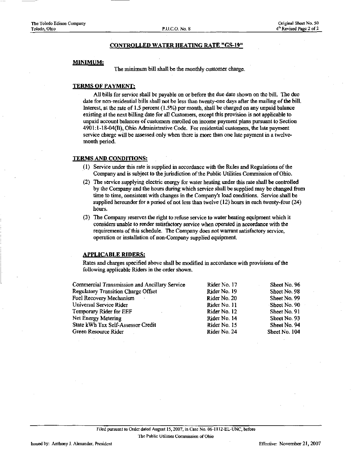#### CONTROLLED WATER HEATING RATE "GS-19"

#### MINIMUM:

The minimum bill shall be the monthly customer charge.

## TERMS OF PAYMENT:

All bills for service shall be payable on or before the due date shown on the bill. The due date for non-residential bills shall not be less than twenty-one days after the mailing of the bill. Interest, at the rate of 1.5 percent (1.5%) per month, shall be charged on any unpaid balance existing at the next billing date for all Customers, except this provision is not applicable to unpaid accoimt balances of customers emolled on income payment plans pursuant to Section 4901:1-18-04(B), Ohio Administrative Code. For residential customers, the late payment service charge will be assessed only when there is more than one late payment in a twelvemonth period.

#### TERMS AND CONDITIONS:

- (1) Service under this rate is supplied in accordance with the Rules and Regulations of the Company and is subject to the jurisdiction of the Public Utilities Commission of Ohio.
- (2) The service supplying electric energy for water heating under this rate shall be controlled by the Company and the hours during which service shall be supplied may be changed from time to time, consistent with changes in the Company's load conditions. Service shall be supplied hereunder for a period of not less than twelve  $(12)$  hours in each twenty-four  $(24)$ hours.
- (3) The Company reserves the right to refuse service to water heating equipment which it considers unable to render satisfactory service when operated in accordance with the requirements of this schedule. The Company does not warrant satisfactory service, operation or installation of non-Company supplied equipment.

### APPLICABLE RIDERS:

Rates and charges specified above shall be modified in accordance with provisions of the following applicable Riders in the order shown.

| Commercial Transmission and Ancillary Service | Rider No. 17 | Sheet No. 96  |
|-----------------------------------------------|--------------|---------------|
| <b>Regulatory Transition Charge Offset</b>    | Rider No. 19 | Sheet No. 98  |
| Fuel Recovery Mechanism                       | Rider No. 20 | Sheet No. 99  |
| Universal Service Rider                       | Rider No. 11 | Sheet No. 90  |
| Temporary Rider for EEF                       | Rider No. 12 | Sheet No. 91  |
| Net Energy Metering                           | Rider No. 14 | Sheet No. 93  |
| State kWh Tax Self-Assessor Credit            | Rider No. 15 | Sheet No. 94  |
| Green Resource Rider                          | Rider No. 24 | Sheet No. 104 |
|                                               |              |               |

The Public Utilities Commission of Ohio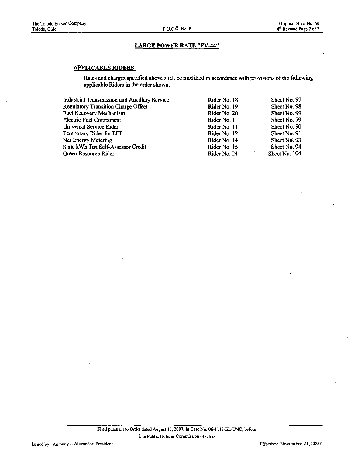### LARGE POWER RATE "PV-44"

## APPLICABLE RIDERS:

| <b>Regulatory Transition Charge Offset</b><br>Sheet No. 98<br>Rider No. 19<br><b>Fuel Recovery Mechanism</b><br>Sheet No. 99<br>Rider No. 20<br><b>Electric Fuel Component</b><br>Sheet No. 79<br>Rider No. 1<br>Universal Service Rider<br>Sheet No. 90<br>Rider No. 11<br>Temporary Rider for EEF<br>Sheet No. 91<br>Rider No. 12<br>Net Energy Metering<br>Sheet No. 93<br>Rider No. 14<br>State kWh Tax Self-Assessor Credit<br>Sheet No. 94<br>Rider No. 15<br>Sheet No. 104<br>Green Resource Rider<br>Rider No. 24 | Industrial Transmission and Ancillary Service | Rider No. 18 | Sheet No. 97 |
|---------------------------------------------------------------------------------------------------------------------------------------------------------------------------------------------------------------------------------------------------------------------------------------------------------------------------------------------------------------------------------------------------------------------------------------------------------------------------------------------------------------------------|-----------------------------------------------|--------------|--------------|
|                                                                                                                                                                                                                                                                                                                                                                                                                                                                                                                           |                                               |              |              |
|                                                                                                                                                                                                                                                                                                                                                                                                                                                                                                                           |                                               |              |              |
|                                                                                                                                                                                                                                                                                                                                                                                                                                                                                                                           |                                               |              |              |
|                                                                                                                                                                                                                                                                                                                                                                                                                                                                                                                           |                                               |              |              |
|                                                                                                                                                                                                                                                                                                                                                                                                                                                                                                                           |                                               |              |              |
|                                                                                                                                                                                                                                                                                                                                                                                                                                                                                                                           |                                               |              |              |
|                                                                                                                                                                                                                                                                                                                                                                                                                                                                                                                           |                                               |              |              |
|                                                                                                                                                                                                                                                                                                                                                                                                                                                                                                                           |                                               |              |              |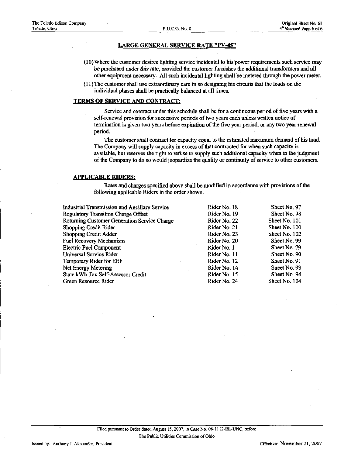#### LARGE GENERAL SERVICE RATE "PV-45"

- (10) Where the customer desires hghting service incidental to his power requirements such service may be purchased under this rate, provided the customer fiimishes the additional transformers and all other equipment necessary. All such incidental lighting shall be metered through the power meter.
- (1 l)The customer shall use extraordinary care in so designing his circuits that the loads on the individual phases shall be practically balanced at all times.

## TERMS OF SERVICE AND CONTRACT:

Service and contract under this schedule shall be for a continuous period of five years with a self-renewal provision for successive periods of two years each unless written notice of termination is given two years before expiration of the five year period, or any two year renewal period.

The customer shall contract for capacity equal to the estimated maximum demand of his load. The Company will supply capacity in excess of that contracted for when such capacity is available, but reserves the right to refuse to supply such additional capacity when in the judgment of the Company to do so would jeopardize the quality or continuity of service to other customers.

#### APPLICABLE RIDERS:

| Industrial Transmission and Ancillary Service | Rider No. 18 | Sheet No. 97  |
|-----------------------------------------------|--------------|---------------|
| <b>Regulatory Transition Charge Offset</b>    | Rider No. 19 | Sheet No. 98  |
| Returning Customer Generation Service Charge  | Rider No. 22 | Sheet No. 101 |
| Shopping Credit Rider                         | Rider No. 21 | Sheet No. 100 |
| Shopping Credit Adder                         | Rider No. 23 | Sheet No. 102 |
| Fuel Recovery Mechanism                       | Rider No. 20 | Sheet No. 99  |
| <b>Electric Fuel Component</b>                | Rider No. 1  | Sheet No. 79  |
| Universal Service Rider                       | Rider No. 11 | Sheet No. 90  |
| Temporary Rider for EEF                       | Rider No. 12 | Sheet No. 91  |
| Net Energy Metering                           | Rider No. 14 | Sheet No. 93  |
| State kWh Tax Self-Assessor Credit            | Rider No. 15 | Sheet No. 94  |
| Green Resource Rider                          | Rider No. 24 | Sheet No. 104 |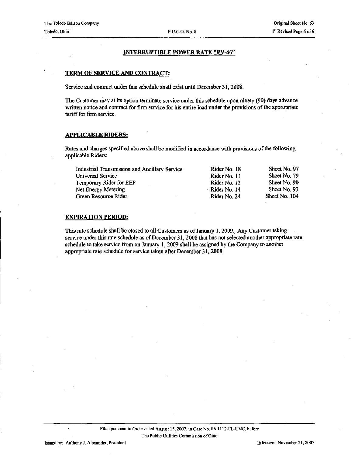## INTERRUPTIBLE POWER RATE "PV-46"

## TERM OF SERVICE AND CONTRACT:

Service and contract under this schedule shall exist until December 31, 2008.

The Customer may at its option terminate service under this schedule upon ninety (90) days advance written notice and contract for firm service for his entire load under the provisions of the appropriate tariff for firm service.

#### APPLICABLE RIDERS:

Rates and charges specified above shall be modified in accordance with provisions of the following applicable Riders:

| Industrial Transmission and Ancillary Service | Rider No. 18   | Sheet No. 97  |
|-----------------------------------------------|----------------|---------------|
| Universal Service                             | Rider No. 11   | Sheet No. 79  |
| Temporary Rider for EEF                       | Rider No. 12   | Sheet No. 90  |
| Net Energy Metering                           | - Rider No. 14 | Sheet No. 93  |
| Green Resource Rider                          | Rider No. 24   | Sheet No. 104 |

#### EXPIRATION PERIOD:

This rate schedule shall be closed to all Customers as of January 1,2009. Any Customer taking service under this rate schedule as of December 31, 2008 that has not selected another appropriate rate schedule to take service from on January 1, 2009 shall be assigned by the Company to another appropriate rate schedule for service taken after December 31,2008.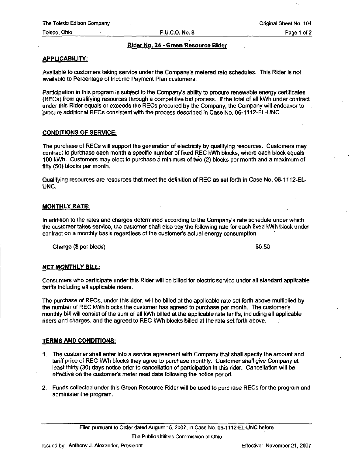Toledo, Ohio **P.U.C.O. No. 8** P.U.C.O. No. 8 Page 1 of 2

## Rider No. 24 - Green Resource Rider

## APPLICABILITY:

Available to customers taking service under the Company's metered rate schedules. This Rider is not available to Percentage of Income Payment Plan customers.

Participation in this program is subject to the Company's ability to procure renewable energy certificates (RECs) from qualifying resources through a competitive bid process. If the total of all kWh under contract under this Rider equals or exceeds the RECs procured by the Company, the Company will endeavor to procure additional RECs consistent with the process described in Case No. 06-1112-EL-UNC.

## CONDITIONS OF SERVICE:

The purchase of RECs will support the generation of electricity by qualifying resources. Customers may contract to purchase each month a specific number of fixed REC kWh blocks, where each block equals 100 kWh. Customers may elect to purchase a minimum of two (2) blocks per month and a maximum of fifty (50) blocks per month.

Qualifying resources are resources that meet the definition of REC as set forth in Case No. 06-1112-EL-UNC.

## MONTHLY RATE:

In addition to the rates and charges determined according to the Company's rate schedule under which the customer takes service, the customer shall also pay the following rate for each fixed kWh block under contract on a monthly basis regardless of the customer's actual energy consumption.

Charge (\$ per block) \$0.50

## NET MONTHLY BILL:

Consumers who participate under this Rider will be billed for electric service under all standard applicable tariffs including all applicable riders.

The purchase of RECs, under this rider, will be billed at the applicable rate set forth above multiplied by the number of REC kWh blocks the customer has agreed to purchase per month. The customer's monthly bill will consist of the sum of all kWh billed at the applicable rate tariffs, including all applicable riders and charges, and the agreed to REC kWh blocks billed at the rate set forth above.

## TERMS AND CONDITIONS:

- 1, The customer shall enter into a service agreement with Company that shall specify the amount and tariff price of REC kWh blocks they agree to purchase monthly. Customer shall give Company at least thirty (30) days notice prior to cancellation of participation in this rider. Cancellation will be effective on the customer's meter read date following the notice period.
- 2. Funds collected under this Green Resource Rider will be used to purchase RECs for the program and administer the program.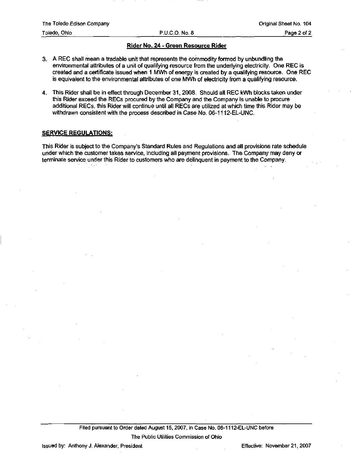## Rider No. 24 - Green Resource Rider

- 3. A REC shall mean a tradable unit that represents the commodity formed by unbundling the environmental attributes of a unit of qualifying resource from the underlying electricity. One REC is created and a certificate issued when 1 MWh of energy is created by a qualifying resource. One REC is equivalent to the environmental attributes of one MWh of electricity from a qualifying resource.
- 4. This Rider shall be in effect through December 31, 2008. Should all REC kWh blocks taken under this Rider exceed the RECs procured by the Company and the Company is unable to procure additional RECs, this Rider will continue until all RECs are utilized at which time this Rider may be withdrawn consistent with the process described in Case No. 06-1112-EL-UNC.

## SERVICE REGULATIONS:

This Rider is subject to the Company's Standard Rules and Regulations and all provisions rate schedule under which the customer takes service, including all payment provisions. The Company may deny or terminate service under this Rider to customers who are delinquent in payment to the Company.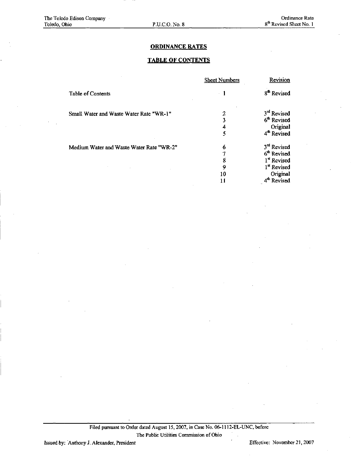## ORDINANCE RATES

## TABLE OF CONTENTS

|                                          | <b>Sheet Numbers</b> | Revision                |
|------------------------------------------|----------------------|-------------------------|
| <b>Table of Contents</b>                 | - 1                  | 8 <sup>th</sup> Revised |
| Small Water and Waste Water Rate "WR-1"  | 2                    | $3rd$ Revised           |
|                                          | 3                    | 6 <sup>th</sup> Revised |
|                                          |                      | Original                |
|                                          | 5                    | 4 <sup>th</sup> Revised |
| Medium Water and Waste Water Rate "WR-2" | 6                    | 3 <sup>rd</sup> Revised |
|                                          |                      | 6 <sup>th</sup> Revised |
|                                          | 8                    | 1st Revised             |
|                                          | 9                    | 1 <sup>st</sup> Revised |
|                                          | 10                   | Original                |
|                                          |                      | 4 <sup>th</sup> Revised |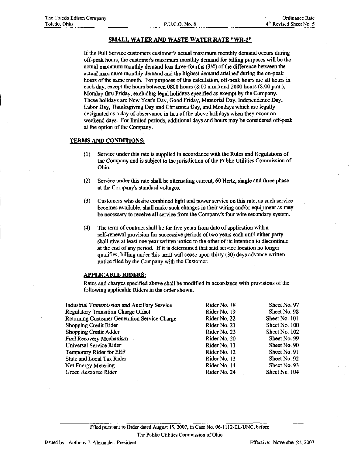## SMALL WATER AND WASTE WATER RATE "WR-1"

If the Full Service customers customer's actual maximum monthly demand occurs during off-peak hours, the customer's maximum monthly demand for billing purposes will be the actual maximum monthly demand less three-fourths (3/4) of the difference between the actual maximum monthly demand and the highest demand attained during the on-peak hours of the same month. For purposes of this calculation, off-peak hours are all hours in each day, except the hours between 0800 hours (8:00 a.m.) and 2000 hours (8:00 p.m.), Monday thru Friday, excluding legal holidays specified as exempt by the Company. These holidays are New Year's Day, Good Friday, Memorial Day, Independence Day, Labor Day, Thanksgiving Day and Christmas Day, and Mondays which are legally designated as a day of observance in lieu of the above holidays when they occur on weekend days. For limited periods, additional days and hours may be considered off-peak at the option of the Company.

## TERMS AND CONDITIONS:

- (1) Service under this rate is supplied in accordance with the Rules and Regulations of the Company and is subject to the jurisdiction of the Public Utilities Commission of Ohio.
- (2) Service under this rate shall be alternating current, 60 Hertz, single and three phase at the Company's standard voltages.
- (3) Customers who desire combined light and power service on this rate, as such service becomes available, shall make such changes in their wiring and/or equipment as may be necessary to receive all service from the Company's four wire secondary system.
- (4) The term of contract shall be for five years from date of application with a self-renewal provision for successive periods of two years each until either party shall give at least one year written notice to the other of its intention to discontinue at the end of any period. If it is determined that said service location no longer qualifies, billing under this tariff will cease upon thirty (30) days advance written notice filed by the Company with the Customer.

#### APPLICABLE RIDERS:

Rates and charges specified above shall be modified in accordance with provisions of the following applicable Riders in the order shown.

| Industrial Transmission and Ancillary Service | Rider No. 18 | Sheet No. 97  |
|-----------------------------------------------|--------------|---------------|
| <b>Regulatory Transition Charge Offset</b>    | Rider No. 19 | Sheet No. 98  |
| Returning Customer Generation Service Charge  | Rider No. 22 | Sheet No. 101 |
| Shopping Credit Rider                         | Rider No. 21 | Sheet No. 100 |
| Shopping Credit Adder                         | Rider No. 23 | Sheet No. 102 |
| Fuel Recovery Mechanism                       | Rider No. 20 | Sheet No. 99  |
| Universal Service Rider                       | Rider No. 11 | Sheet No. 90  |
| Temporary Rider for EEF                       | Rider No. 12 | Sheet No. 91  |
| State and Local Tax Rider                     | Rider No. 13 | Sheet No. 92  |
| Net Energy Metering                           | Rider No. 14 | Sheet No. 93  |
| Green Resource Rider                          | Rider No. 24 | Sheet No. 104 |

Filed pursuant to Order dated August 15, 2007, in Case No. 06-1112-EL-UNC, before The Public Utilities Commission of Ohio